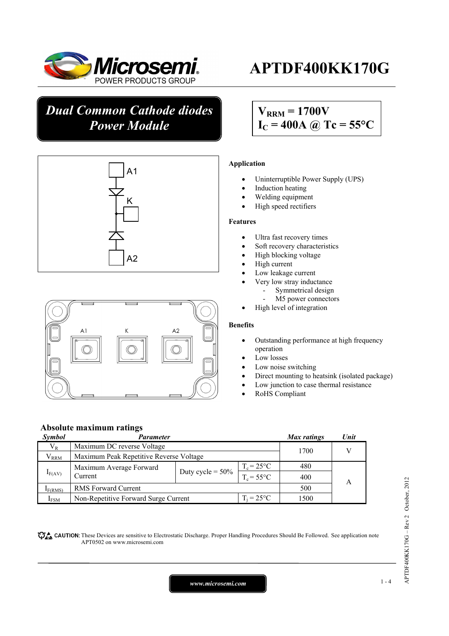

# **APTDF400KK170G**

# *Dual Common Cathode diodes Power Module*





# $V_{\text{RRM}} = 1700V$  $I_C = 400A$  @ Tc = 55°C

## **Application**

- Uninterruptible Power Supply (UPS)
- Induction heating
- Welding equipment
- High speed rectifiers

#### **Features**

- Ultra fast recovery times
- Soft recovery characteristics
- High blocking voltage
- High current
- Low leakage current
- Very low stray inductance
	- Symmetrical design
	- M5 power connectors
- High level of integration

### **Benefits**

- Outstanding performance at high frequency operation
- Low losses
- Low noise switching
- Direct mounting to heatsink (isolated package)
- Low junction to case thermal resistance
- RoHS Compliant

# **Absolute maximum ratings**

| <b>Symbol</b>       | Parameter                               |                     |                     | Max ratings | Unit |
|---------------------|-----------------------------------------|---------------------|---------------------|-------------|------|
| $V_{R}$             | Maximum DC reverse Voltage              |                     |                     | 1700        |      |
| $\rm V_{RRM}$       | Maximum Peak Repetitive Reverse Voltage |                     |                     |             |      |
| $I_{F(AV)}$         | Maximum Average Forward                 |                     | $T_c = 25$ °C       | 480         |      |
|                     | Current                                 | Duty cycle = $50\%$ | $T_c = 55^{\circ}C$ | 400         |      |
| I <sub>F(RMS)</sub> | <b>RMS</b> Forward Current              |                     |                     | 500         |      |
| $I_{FSM}$           | Non-Repetitive Forward Surge Current    |                     | $T_i = 25^{\circ}C$ | 1500        |      |

These Devices are sensitive to Electrostatic Discharge. Proper Handling Procedures Should Be Followed. See application note APT0502 on www.microsemi.com

# $APTDF400KK170G - Rev 2 October, 2012$ APTDF400KK170G – Rev 2 October, 2012

*www.microsemi.com* 1-4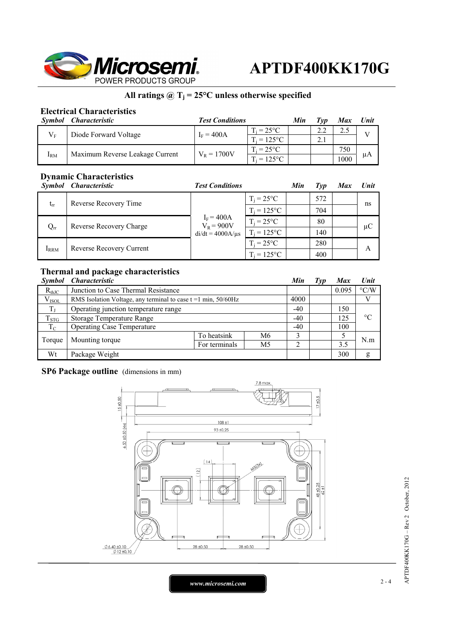

# **All ratings @ Tj = 25°C unless otherwise specified**

# **Electrical Characteristics**

| Symbol                 | <i><b>Characteristic</b></i>    | <b>Test Conditions</b> |                     | Min | Tvn | <b>Max</b> | Unit |
|------------------------|---------------------------------|------------------------|---------------------|-----|-----|------------|------|
| $V_{\textrm{\tiny E}}$ | Diode Forward Voltage           | $I_F = 400A$           | $T_i = 25^{\circ}C$ |     |     |            |      |
|                        |                                 |                        | $T_i = 125$ °C      |     |     |            |      |
| $I_{\rm RM}$           | Maximum Reverse Leakage Current | $V_R = 1700V$          | $T_i = 25^{\circ}C$ |     |     | 750        | μA   |
|                        |                                 |                        | $T_i = 125$ °C      |     |     | 1000       |      |

# **Dynamic Characteristics**

|             | Symbol Characteristic   | <b>Test Conditions</b>       |                     | Min                 | Typ | Max | Unit          |   |
|-------------|-------------------------|------------------------------|---------------------|---------------------|-----|-----|---------------|---|
| $t_{rr}$    | Reverse Recovery Time   |                              | $T_i = 25^{\circ}C$ |                     | 572 |     |               |   |
|             |                         |                              | $T_i = 125$ °C      |                     | 704 |     |               |   |
| $Q_{rr}$    | Reverse Recovery Charge | $I_F = 400A$<br>$V_R = 900V$ | $T_i = 25^{\circ}C$ |                     | 80  |     | ns<br>$\mu C$ |   |
|             |                         | $di/dt = 4000A/\mu s$        | $T_i = 125$ °C      |                     | 140 |     |               |   |
| <b>IRRM</b> |                         | Reverse Recovery Current     |                     | $T_i = 25^{\circ}C$ |     | 280 |               | А |
|             |                         |                              |                     | $T_i = 125$ °C      |     | 400 |               |   |

# **Thermal and package characteristics**

| Symbol      | <i><b>Characteristic</b></i>                                        |               |                | Min   | Typ | <b>Max</b> | <b>Unit</b>        |
|-------------|---------------------------------------------------------------------|---------------|----------------|-------|-----|------------|--------------------|
| $R_{thJC}$  | Junction to Case Thermal Resistance                                 |               |                |       |     | 0.095      | $\rm ^{\circ}$ C/W |
| $V_{ISOL}$  | RMS Isolation Voltage, any terminal to case $t = 1$ min, $50/60$ Hz |               |                | 4000  |     |            |                    |
| $T_{J}$     | Operating junction temperature range                                |               |                | $-40$ |     | 150        | $^{\circ}C$        |
| $T_{STG}$   | Storage Temperature Range                                           |               |                | $-40$ |     | 125        |                    |
| $T_{\rm C}$ | <b>Operating Case Temperature</b>                                   |               |                | $-40$ |     | 100        |                    |
| Torque      | Mounting torque                                                     | To heatsink   | M6             |       |     |            | N.m                |
|             |                                                                     | For terminals | M <sub>5</sub> | ◠     |     | 3.5        |                    |
| Wt          | Package Weight                                                      |               |                |       |     | 300        | g                  |

## **SP6 Package outline** (dimensions in mm)



 $APTDF400KK170G - Rev 2 October, 2012$ APTDF400KK170G – Rev 2 October, 2012

*www.microsemi.com* 2-4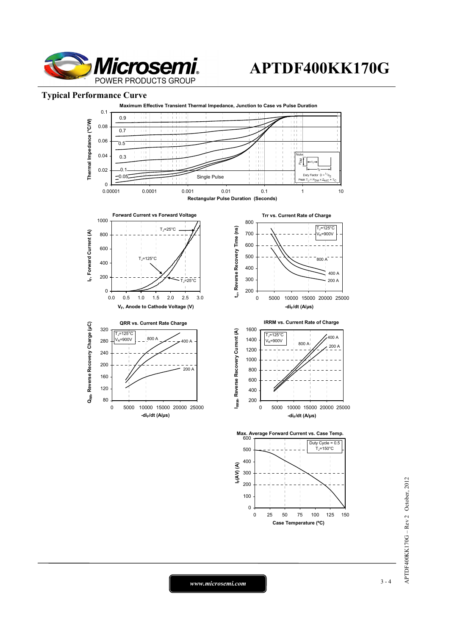

# **APTDF400KK170G**

## **Typical Performance Curve**



*www.microsemi.com* 3-4